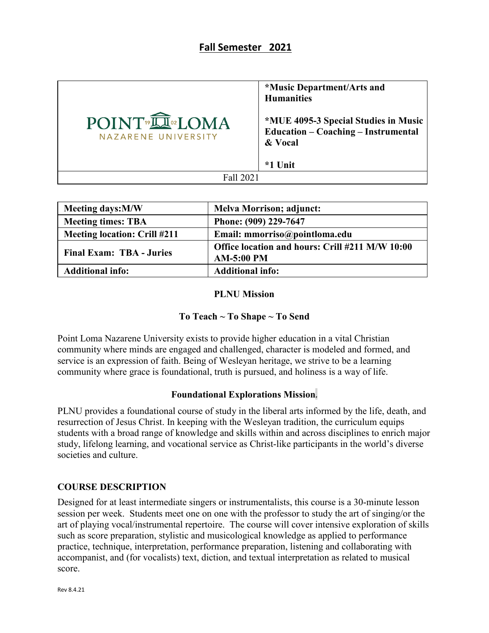# **Fall Semester 2021**

|                                                   | <i><b>*Music Department/Arts and</b></i><br><b>Humanities</b>                                 |
|---------------------------------------------------|-----------------------------------------------------------------------------------------------|
| POINT <sup>®</sup> IN®LOMA<br>NAZARENE UNIVERSITY | *MUE 4095-3 Special Studies in Music<br><b>Education - Coaching - Instrumental</b><br>& Vocal |
|                                                   | *1 Unit                                                                                       |
| Fall 2021                                         |                                                                                               |

| <b>Meeting days:M/W</b>             | <b>Melva Morrison; adjunct:</b>                 |
|-------------------------------------|-------------------------------------------------|
| <b>Meeting times: TBA</b>           | Phone: (909) 229-7647                           |
| <b>Meeting location: Crill #211</b> | Email: mmorriso@pointloma.edu                   |
| <b>Final Exam: TBA - Juries</b>     | Office location and hours: Crill #211 M/W 10:00 |
|                                     | <b>AM-5:00 PM</b>                               |
| <b>Additional info:</b>             | <b>Additional info:</b>                         |

#### **PLNU Mission**

## **To Teach ~ To Shape ~ To Send**

Point Loma Nazarene University exists to provide higher education in a vital Christian community where minds are engaged and challenged, character is modeled and formed, and service is an expression of faith. Being of Wesleyan heritage, we strive to be a learning community where grace is foundational, truth is pursued, and holiness is a way of life.

#### **Foundational Explorations Mission**.

PLNU provides a foundational course of study in the liberal arts informed by the life, death, and resurrection of Jesus Christ. In keeping with the Wesleyan tradition, the curriculum equips students with a broad range of knowledge and skills within and across disciplines to enrich major study, lifelong learning, and vocational service as Christ-like participants in the world's diverse societies and culture.

## **COURSE DESCRIPTION**

Designed for at least intermediate singers or instrumentalists, this course is a 30-minute lesson session per week. Students meet one on one with the professor to study the art of singing/or the art of playing vocal/instrumental repertoire. The course will cover intensive exploration of skills such as score preparation, stylistic and musicological knowledge as applied to performance practice, technique, interpretation, performance preparation, listening and collaborating with accompanist, and (for vocalists) text, diction, and textual interpretation as related to musical score.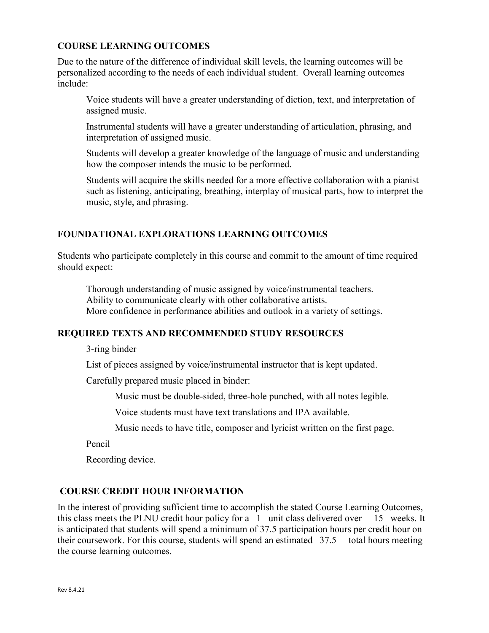## **COURSE LEARNING OUTCOMES**

Due to the nature of the difference of individual skill levels, the learning outcomes will be personalized according to the needs of each individual student. Overall learning outcomes include:

Voice students will have a greater understanding of diction, text, and interpretation of assigned music.

Instrumental students will have a greater understanding of articulation, phrasing, and interpretation of assigned music.

Students will develop a greater knowledge of the language of music and understanding how the composer intends the music to be performed.

Students will acquire the skills needed for a more effective collaboration with a pianist such as listening, anticipating, breathing, interplay of musical parts, how to interpret the music, style, and phrasing.

## **FOUNDATIONAL EXPLORATIONS LEARNING OUTCOMES**

Students who participate completely in this course and commit to the amount of time required should expect:

Thorough understanding of music assigned by voice/instrumental teachers. Ability to communicate clearly with other collaborative artists. More confidence in performance abilities and outlook in a variety of settings.

## **REQUIRED TEXTS AND RECOMMENDED STUDY RESOURCES**

3-ring binder

List of pieces assigned by voice/instrumental instructor that is kept updated.

Carefully prepared music placed in binder:

Music must be double-sided, three-hole punched, with all notes legible.

Voice students must have text translations and IPA available.

Music needs to have title, composer and lyricist written on the first page.

Pencil

Recording device.

## **COURSE CREDIT HOUR INFORMATION**

In the interest of providing sufficient time to accomplish the stated Course Learning Outcomes, this class meets the PLNU credit hour policy for a  $\perp$  unit class delivered over  $\perp$  15 weeks. It is anticipated that students will spend a minimum of 37.5 participation hours per credit hour on their coursework. For this course, students will spend an estimated 37.5 total hours meeting the course learning outcomes.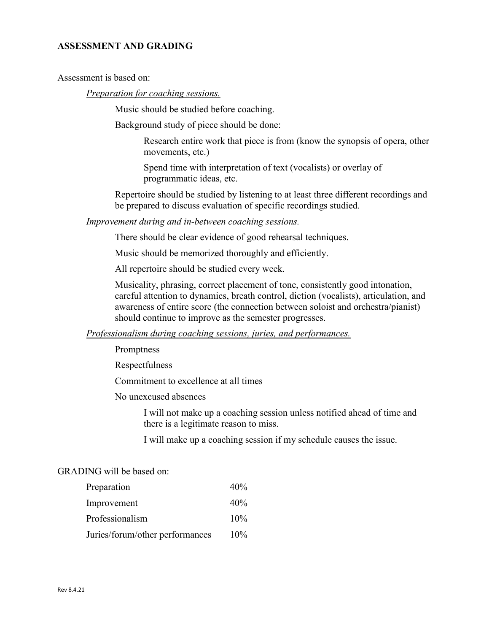### **ASSESSMENT AND GRADING**

Assessment is based on:

*Preparation for coaching sessions.*

Music should be studied before coaching.

Background study of piece should be done:

Research entire work that piece is from (know the synopsis of opera, other movements, etc.)

Spend time with interpretation of text (vocalists) or overlay of programmatic ideas, etc.

Repertoire should be studied by listening to at least three different recordings and be prepared to discuss evaluation of specific recordings studied.

#### *Improvement during and in-between coaching sessions.*

There should be clear evidence of good rehearsal techniques.

Music should be memorized thoroughly and efficiently.

All repertoire should be studied every week.

Musicality, phrasing, correct placement of tone, consistently good intonation, careful attention to dynamics, breath control, diction (vocalists), articulation, and awareness of entire score (the connection between soloist and orchestra/pianist) should continue to improve as the semester progresses.

#### *Professionalism during coaching sessions, juries, and performances.*

Promptness

Respectfulness

Commitment to excellence at all times

No unexcused absences

I will not make up a coaching session unless notified ahead of time and there is a legitimate reason to miss.

I will make up a coaching session if my schedule causes the issue.

#### GRADING will be based on:

| Preparation                     | 40% |
|---------------------------------|-----|
| Improvement                     | 40% |
| Professionalism                 | 10% |
| Juries/forum/other performances | 10% |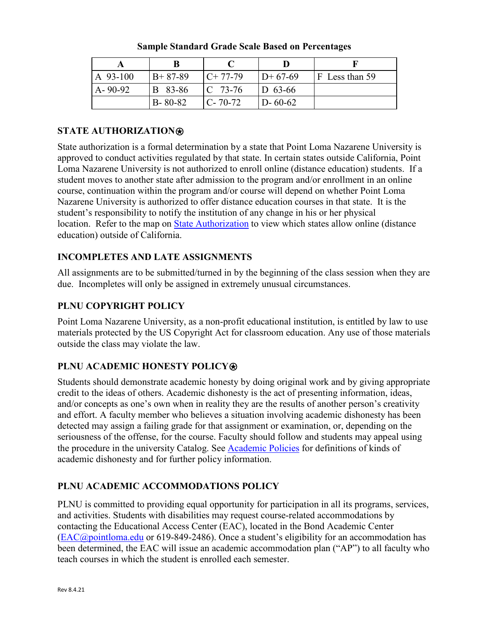| $A$ 93-100    | $B+87-89$      | $C+77-79$     | $ID+67-69$    | F Less than 59 |
|---------------|----------------|---------------|---------------|----------------|
| $A - 90 - 92$ | <b>B</b> 83-86 | $C$ 73-76     | $D$ 63-66     |                |
|               | $B - 80 - 82$  | $C - 70 - 72$ | $D - 60 - 62$ |                |

**Sample Standard Grade Scale Based on Percentages**

# **STATE AUTHORIZATION**⍟

State authorization is a formal determination by a state that Point Loma Nazarene University is approved to conduct activities regulated by that state. In certain states outside California, Point Loma Nazarene University is not authorized to enroll online (distance education) students. If a student moves to another state after admission to the program and/or enrollment in an online course, continuation within the program and/or course will depend on whether Point Loma Nazarene University is authorized to offer distance education courses in that state. It is the student's responsibility to notify the institution of any change in his or her physical location. Refer to the map on [State Authorization](https://www.pointloma.edu/offices/office-institutional-effectiveness-research/disclosures) to view which states allow online (distance education) outside of California.

# **INCOMPLETES AND LATE ASSIGNMENTS**

All assignments are to be submitted/turned in by the beginning of the class session when they are due. Incompletes will only be assigned in extremely unusual circumstances.

## **PLNU COPYRIGHT POLICY**

Point Loma Nazarene University, as a non-profit educational institution, is entitled by law to use materials protected by the US Copyright Act for classroom education. Any use of those materials outside the class may violate the law.

# **PLNU ACADEMIC HONESTY POLICY®**

Students should demonstrate academic honesty by doing original work and by giving appropriate credit to the ideas of others. Academic dishonesty is the act of presenting information, ideas, and/or concepts as one's own when in reality they are the results of another person's creativity and effort. A faculty member who believes a situation involving academic dishonesty has been detected may assign a failing grade for that assignment or examination, or, depending on the seriousness of the offense, for the course. Faculty should follow and students may appeal using the procedure in the university Catalog. See [Academic Policies](https://catalog.pointloma.edu/content.php?catoid=52&navoid=2919#Academic_Honesty) for definitions of kinds of academic dishonesty and for further policy information.

# **PLNU ACADEMIC ACCOMMODATIONS POLICY**

PLNU is committed to providing equal opportunity for participation in all its programs, services, and activities. Students with disabilities may request course-related accommodations by contacting the Educational Access Center (EAC), located in the Bond Academic Center [\(EAC@pointloma.edu](mailto:EAC@pointloma.edu) or 619-849-2486). Once a student's eligibility for an accommodation has been determined, the EAC will issue an academic accommodation plan ("AP") to all faculty who teach courses in which the student is enrolled each semester.